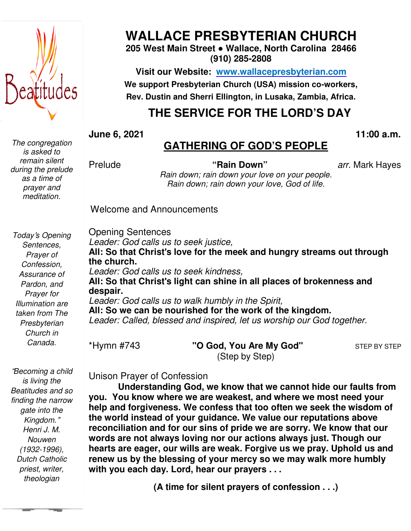

*The congregation is asked to remain silent during the prelude as a time of prayer and meditation.* 

**WALLACE WALLACE PRESBYTERIAN CHURCH**

**205 West Main Main Street ● Wallace, North Carolina 28466 (910) 285-2808** 

**Visit our Website: Website: www.wallacepresbyterian.com We support Presbyterian Presbyterian Church (USA) mission co-workers, Rev. Dustin and and Sherri Ellington, in Lusaka, Zambia, Africa.** 

## **THE SERVICE FOR THE LORD'S DAY**

**June 6, 2021** 

#### **11:00 11:00 a.m.**

## **GATHERING GATHERING OF GOD'S PEOPLE**

Prelude

**"Rain Down"** *arr.* Mark Hayes

*Rain down; down; rain down your love on your people. Rain down; down; rain down your love, God of life.*

Welcome and Announcements

*Today*'*s Opening Sentences, Prayer of Confession, Assurance of Pardon, and Prayer for Illumination are taken from The Presbyterian Church in Canada.* 

 *Dutch Catholic*  "*Becoming a child is living the Beatitudes and so finding the narrow gate into the Kingdom.*" *Henri J. M. Nouwen (1932-1996), priest, writer, theologian* 

Opening Sentences Leader: God calls us to seek justice, All: So that Christ's love for the meek and hungry streams out through **the church.**  Leader: God calls us to seek kindness, **All: So that Christ**'**s light light can shine in all places of brokenness and despair.**  Leader: God calls us to walk humbly in the Spirit, All: So we can be nourished for the work of the kingdom. Leader: Called, blessed and inspired, let us worship our God together.

\*Hymn #743

"O God, You Are My God" (Step by Step)

**STEP BY STEP** 

Unison Prayer of Confession

Understanding God, we know that we cannot hide our faults from **you. You know where we we are weakest, and where we most need your help and forgiveness. We We confess that too often we seek the wisdom wisdom of the world instead of your your guidance. We value our reputations above** reconciliation and for our sins of pride we are sorry. We know that our **words are not always loving loving nor our actions always just. Though our** hearts are eager, our wills are weak. Forgive us we pray. Uphold us and renew us by the blessing of your mercy so we may walk more humbly **with you each day. Lord, Lord, hear our prayers . . .** 

**(A time for silent prayers of confession . . .)**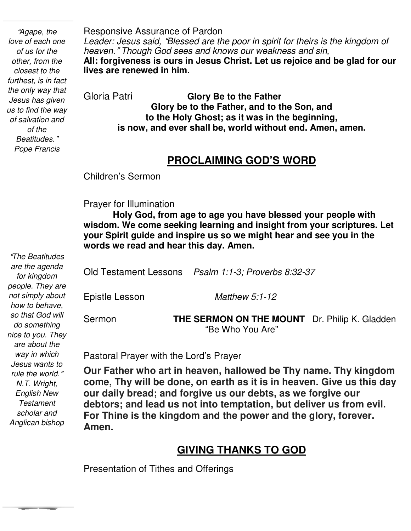"*Agape, the love of each one of us for the other, from the closest to the furthest, is in fact the only way that Jesus has given us to find the way of salvation and of the Beatitudes.*" *Pope Francis* 

Responsive Assurance of Pardon *Leader: Jesus said,* "*Blessed are the poor in spirit for theirs is the kingdom of heaven.*" *Though God sees and knows our weakness and sin,*  **All: forgiveness is ours in Jesus Christ. Let us rejoice and be glad for our lives are renewed in him.** 

Gloria Patri **Glory Be to the Father Glory be to the Father, and to the Son, and to the Holy Ghost; as it was in the beginning, is now, and ever shall be, world without end. Amen, amen.** 

#### **PROCLAIMING GOD'S WORD**

Children's Sermon

#### Prayer for Illumination

 **wisdom. We come seeking learning and insight from your scriptures. Let Holy God, from age to age you have blessed your people with your Spirit guide and inspire us so we might hear and see you in the words we read and hear this day. Amen.** 

Old Testament Lessons *Psalm 1:1-3; Proverbs 8:32-37* Epistle Lesson *Matthew 5:1-12* Sermon **THE SERMON ON THE MOUNT** Dr. Philip K. Gladden "Be Who You Are"

Pastoral Prayer with the Lord's Prayer

 **debtors; and lead us not into temptation, but deliver us from evil. Our Father who art in heaven, hallowed be Thy name. Thy kingdom come, Thy will be done, on earth as it is in heaven. Give us this day our daily bread; and forgive us our debts, as we forgive our For Thine is the kingdom and the power and the glory, forever. Amen.** 

## **GIVING THANKS TO GOD**

Presentation of Tithes and Offerings

"*The Beatitudes are the agenda for kingdom people. They are not simply about how to behave, so that God will do something nice to you. They are about the way in which Jesus wants to rule the world.*" *N.T. Wright, English New Testament scholar and Anglican bishop* 

**The Color**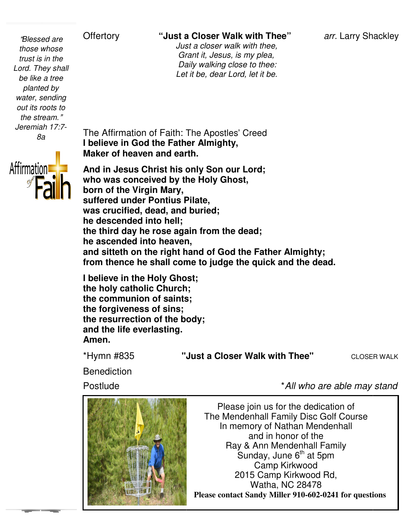#### Offertory **"Just a Closer Walk with Thee"**

*arr.* Larry Shackley

 *Just Just a closer walk with thee, Grant Grant it, Jesus, is my plea, Daily Daily walking close to thee: Let Let it be, dear Lord, let it be.* 

The Affirmation of Faith: The The Apostles' Creed **I believe in God the Father Father Almighty, Maker of heaven and earth.**

And in Jesus Christ his only Son our Lord; **who was conceived by the the Holy Ghost, born of the Virgin Mary, suffered under Pontius Pilate, was crucified, dead, and and buried; he descended into hell; the third day he rose again again from the dead; he ascended into heaven, and sitteth on the right hand hand of God the Father Almighty;**  from thence he shall come to judge the quick and the dead.

**I believe in the Holy Ghost Ghost; the holy catholic Church; the communion of saints; the forgiveness of sins; the resurrection of the body; and the life everlasting. Amen.** 

\*Hymn #835 **"Just**

"Just a Closer Walk with Thee"

CLOSER WALK

**Benediction** 

Postlude



\**All who are able may stand*

Please join us for the dedication of The Mendenhall Family Disc Golf Course In memory of Nathan Mendenhall and in honor of the Ray & Ann Mendenhall Family Sunday, June  $6<sup>th</sup>$  at 5pm Camp Kirkwood 2015 Camp Kirkwood Rd, Watha, NC 28478 **Please contact Sandy Miller 910-602-0241 for questions**



"*Blessed are those whose trust is in the Lord. They shall be like a tree planted by water, sending out its roots to the stream.*" *Jeremiah 17:7- 8a*